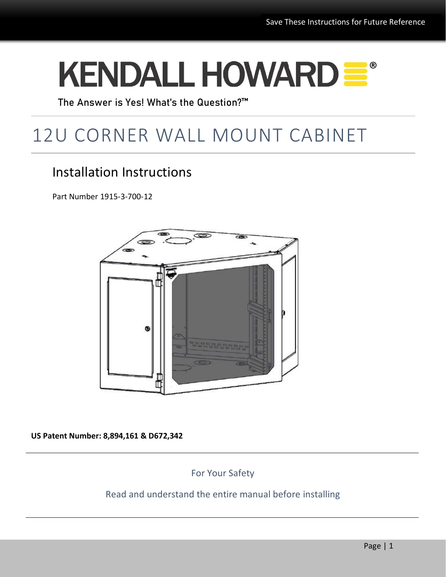# KENDALL HOWARD =

The Answer is Yes! What's the Question?™

## 12U CORNER WALL MOUNT CABINET

## Installation Instructions

Part Number 1915-3-700-12



**US Patent Number: 8,894,161 & D672,342**

For Your Safety

#### Read and understand the entire manual before installing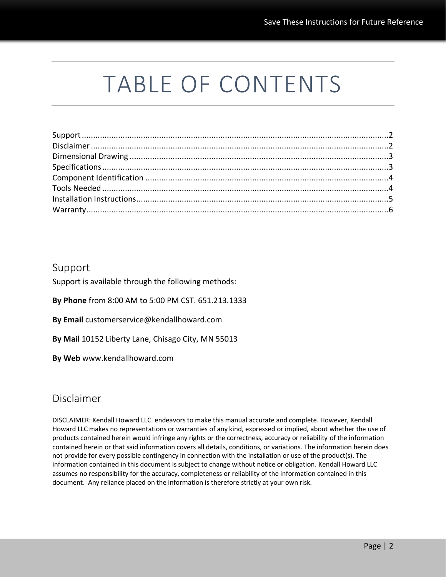## TABLE OF CONTENTS

#### <span id="page-1-0"></span>Support

Support is available through the following methods:

**By Phone** from 8:00 AM to 5:00 PM CST. 651.213.1333

**By Email** customerservice@kendallhoward.com

**By Mail** 10152 Liberty Lane, Chisago City, MN 55013

**By Web** www.kendallhoward.com

#### Disclaimer

<span id="page-1-1"></span>DISCLAIMER: Kendall Howard LLC. endeavors to make this manual accurate and complete. However, Kendall Howard LLC makes no representations or warranties of any kind, expressed or implied, about whether the use of products contained herein would infringe any rights or the correctness, accuracy or reliability of the information contained herein or that said information covers all details, conditions, or variations. The information herein does not provide for every possible contingency in connection with the installation or use of the product(s). The information contained in this document is subject to change without notice or obligation. Kendall Howard LLC assumes no responsibility for the accuracy, completeness or reliability of the information contained in this document. Any reliance placed on the information is therefore strictly at your own risk.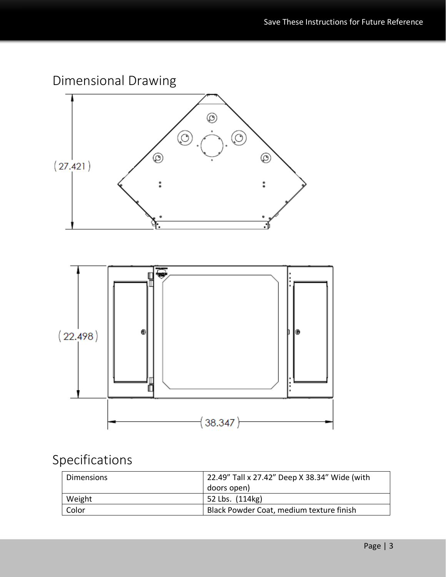

## <span id="page-2-0"></span>Specifications

| <b>Dimensions</b> | 22.49" Tall x 27.42" Deep X 38.34" Wide (with |
|-------------------|-----------------------------------------------|
|                   | doors open)                                   |
| Weight            | 52 Lbs. (114kg)                               |
| Color             | Black Powder Coat, medium texture finish      |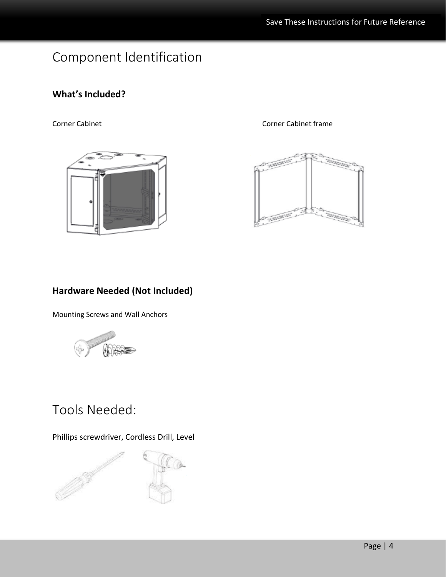## Component Identification

#### **What's Included?**



Corner Cabinet Corner Cabinet frame



#### **Hardware Needed (Not Included)**

Mounting Screws and Wall Anchors



## Tools Needed:

Phillips screwdriver, Cordless Drill, Level

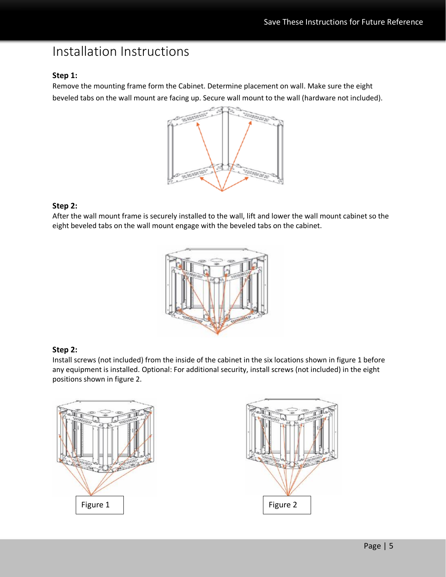### Installation Instructions

#### **Step 1:**

Remove the mounting frame form the Cabinet. Determine placement on wall. Make sure the eight beveled tabs on the wall mount are facing up. Secure wall mount to the wall (hardware not included).



#### **Step 2:**

After the wall mount frame is securely installed to the wall, lift and lower the wall mount cabinet so the eight beveled tabs on the wall mount engage with the beveled tabs on the cabinet.



#### **Step 2:**

Install screws (not included) from the inside of the cabinet in the six locations shown in figure 1 before any equipment is installed. Optional: For additional security, install screws (not included) in the eight positions shown in figure 2.